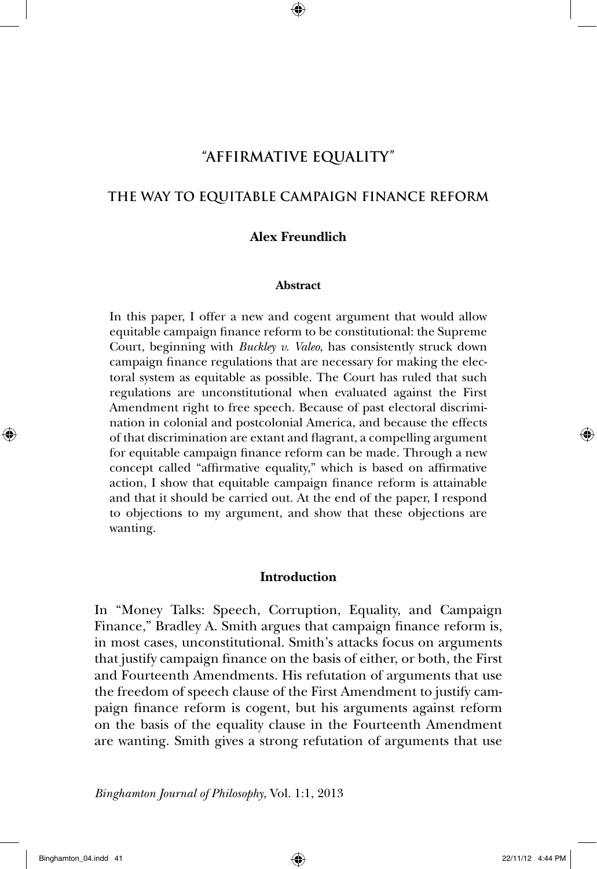# **"AFFIRMATIVE EQUALITY"**

## **THE WAY TO EQUITABLE CAMPAIGN FINANCE REFORM**

#### **Alex Freundlich**

#### **Abstract**

In this paper, I offer a new and cogent argument that would allow equitable campaign finance reform to be constitutional: the Supreme Court, beginning with *Buckley v. Valeo*, has consistently struck down campaign finance regulations that are necessary for making the electoral system as equitable as possible. The Court has ruled that such regulations are unconstitutional when evaluated against the First Amendment right to free speech. Because of past electoral discrimination in colonial and postcolonial America, and because the effects of that discrimination are extant and flagrant, a compelling argument for equitable campaign finance reform can be made. Through a new concept called "affirmative equality," which is based on affirmative action, I show that equitable campaign finance reform is attainable and that it should be carried out. At the end of the paper, I respond to objections to my argument, and show that these objections are wanting.

### **Introduction**

In "Money Talks: Speech, Corruption, Equality, and Campaign Finance," Bradley A. Smith argues that campaign finance reform is, in most cases, unconstitutional. Smith's attacks focus on arguments that justify campaign finance on the basis of either, or both, the First and Fourteenth Amendments. His refutation of arguments that use the freedom of speech clause of the First Amendment to justify campaign finance reform is cogent, but his arguments against reform on the basis of the equality clause in the Fourteenth Amendment are wanting. Smith gives a strong refutation of arguments that use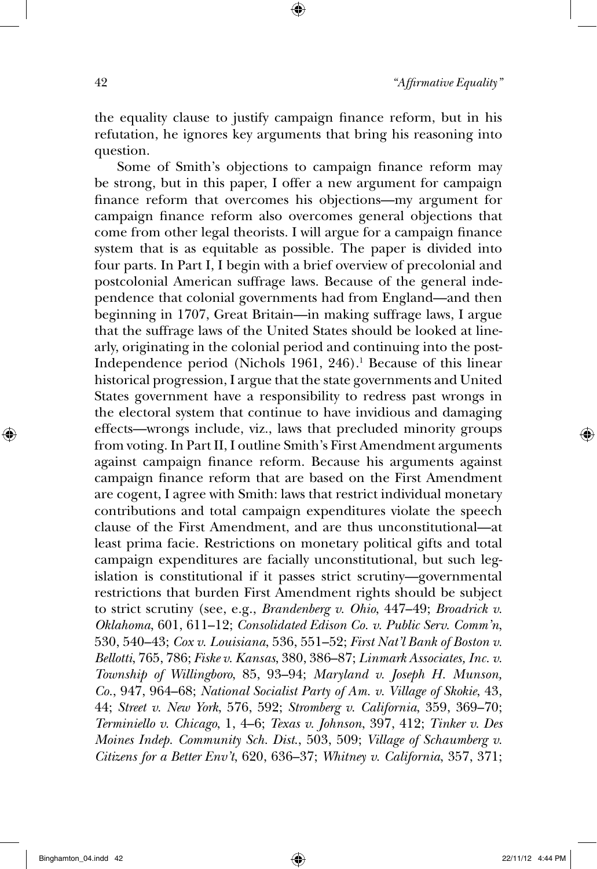the equality clause to justify campaign finance reform, but in his refutation, he ignores key arguments that bring his reasoning into question.

Some of Smith's objections to campaign finance reform may be strong, but in this paper, I offer a new argument for campaign finance reform that overcomes his objections—my argument for campaign finance reform also overcomes general objections that come from other legal theorists. I will argue for a campaign finance system that is as equitable as possible. The paper is divided into four parts. In Part I, I begin with a brief overview of precolonial and postcolonial American suffrage laws. Because of the general independence that colonial governments had from England—and then beginning in 1707, Great Britain—in making suffrage laws, I argue that the suffrage laws of the United States should be looked at linearly, originating in the colonial period and continuing into the post-Independence period (Nichols 1961, 246).<sup>1</sup> Because of this linear historical progression, I argue that the state governments and United States government have a responsibility to redress past wrongs in the electoral system that continue to have invidious and damaging effects—wrongs include, viz., laws that precluded minority groups from voting. In Part II, I outline Smith's First Amendment arguments against campaign finance reform. Because his arguments against campaign finance reform that are based on the First Amendment are cogent, I agree with Smith: laws that restrict individual monetary contributions and total campaign expenditures violate the speech clause of the First Amendment, and are thus unconstitutional—at least prima facie. Restrictions on monetary political gifts and total campaign expenditures are facially unconstitutional, but such legislation is constitutional if it passes strict scrutiny—governmental restrictions that burden First Amendment rights should be subject to strict scrutiny (see, e.g., *Brandenberg v. Ohio*, 447–49; *Broadrick v. Oklahoma*, 601, 611–12; *Consolidated Edison Co. v. Public Serv. Comm'n*, 530, 540–43; *Cox v. Louisiana*, 536, 551–52; *First Nat'l Bank of Boston v. Bellotti*, 765, 786; *Fiske v. Kansas*, 380, 386–87; *Linmark Associates, Inc. v. Township of Willingboro*, 85, 93–94; *Maryland v. Joseph H. Munson, Co.*, 947, 964–68; *National Socialist Party of Am. v. Village of Skokie*, 43, 44; *Street v. New York*, 576, 592; *Stromberg v. California*, 359, 369–70; *Terminiello v. Chicago*, 1, 4–6; *Texas v. Johnson*, 397, 412; *Tinker v. Des Moines Indep. Community Sch. Dist*., 503, 509; *Village of Schaumberg v. Citizens for a Better Env't*, 620, 636–37; *Whitney v. California*, 357, 371;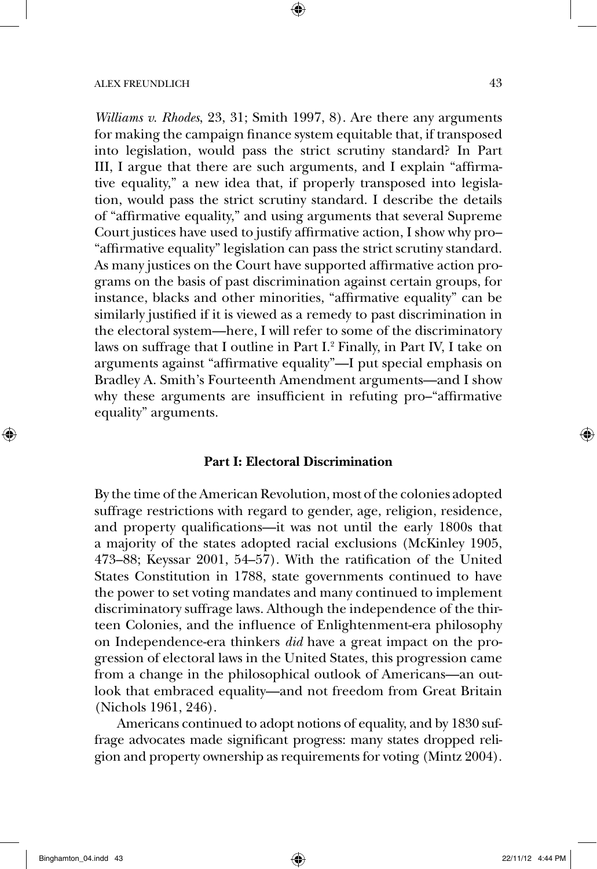*Williams v. Rhodes*, 23, 31; Smith 1997, 8). Are there any arguments for making the campaign finance system equitable that, if transposed into legislation, would pass the strict scrutiny standard? In Part III, I argue that there are such arguments, and I explain "affirmative equality," a new idea that, if properly transposed into legislation, would pass the strict scrutiny standard. I describe the details of "affirmative equality," and using arguments that several Supreme Court justices have used to justify affirmative action, I show why pro– "affirmative equality" legislation can pass the strict scrutiny standard. As many justices on the Court have supported affirmative action programs on the basis of past discrimination against certain groups, for instance, blacks and other minorities, "affirmative equality" can be similarly justified if it is viewed as a remedy to past discrimination in the electoral system—here, I will refer to some of the discriminatory laws on suffrage that I outline in Part I.<sup>2</sup> Finally, in Part IV, I take on arguments against "affirmative equality"—I put special emphasis on Bradley A. Smith's Fourteenth Amendment arguments—and I show why these arguments are insufficient in refuting pro–"affirmative equality" arguments.

#### **Part I: Electoral Discrimination**

By the time of the American Revolution, most of the colonies adopted suffrage restrictions with regard to gender, age, religion, residence, and property qualifications—it was not until the early 1800s that a majority of the states adopted racial exclusions (McKinley 1905, 473–88; Keyssar 2001, 54–57). With the ratification of the United States Constitution in 1788, state governments continued to have the power to set voting mandates and many continued to implement discriminatory suffrage laws. Although the independence of the thirteen Colonies, and the influence of Enlightenment-era philosophy on Independence-era thinkers *did* have a great impact on the progression of electoral laws in the United States, this progression came from a change in the philosophical outlook of Americans—an outlook that embraced equality—and not freedom from Great Britain (Nichols 1961, 246).

Americans continued to adopt notions of equality, and by 1830 suffrage advocates made significant progress: many states dropped religion and property ownership as requirements for voting (Mintz 2004).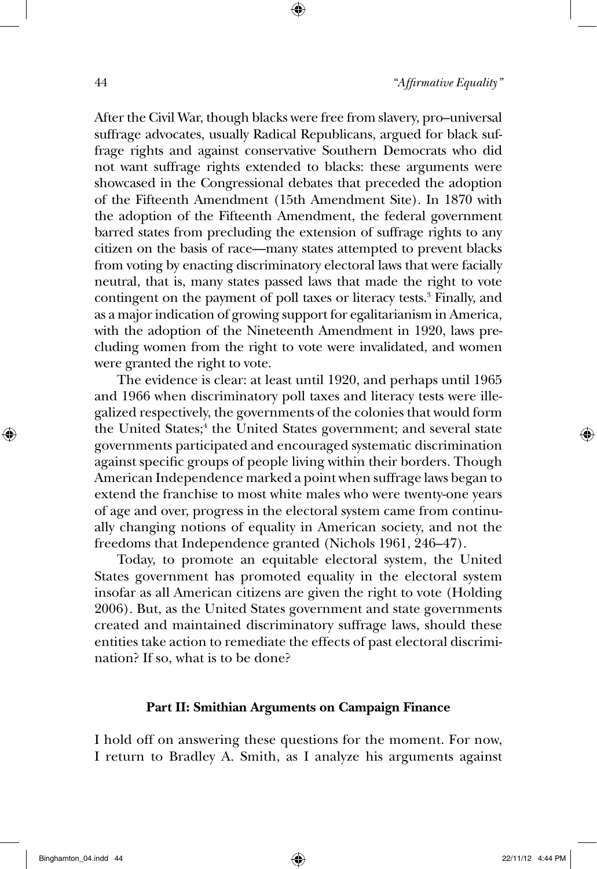After the Civil War, though blacks were free from slavery, pro–universal suffrage advocates, usually Radical Republicans, argued for black suffrage rights and against conservative Southern Democrats who did not want suffrage rights extended to blacks: these arguments were showcased in the Congressional debates that preceded the adoption of the Fifteenth Amendment (15th Amendment Site). In 1870 with the adoption of the Fifteenth Amendment, the federal government barred states from precluding the extension of suffrage rights to any citizen on the basis of race—many states attempted to prevent blacks from voting by enacting discriminatory electoral laws that were facially neutral, that is, many states passed laws that made the right to vote contingent on the payment of poll taxes or literacy tests.<sup>3</sup> Finally, and as a major indication of growing support for egalitarianism in America, with the adoption of the Nineteenth Amendment in 1920, laws precluding women from the right to vote were invalidated, and women were granted the right to vote.

The evidence is clear: at least until 1920, and perhaps until 1965 and 1966 when discriminatory poll taxes and literacy tests were illegalized respectively, the governments of the colonies that would form the United States;<sup>4</sup> the United States government; and several state governments participated and encouraged systematic discrimination against specific groups of people living within their borders. Though American Independence marked a point when suffrage laws began to extend the franchise to most white males who were twenty-one years of age and over, progress in the electoral system came from continually changing notions of equality in American society, and not the freedoms that Independence granted (Nichols 1961, 246–47).

Today, to promote an equitable electoral system, the United States government has promoted equality in the electoral system insofar as all American citizens are given the right to vote (Holding 2006). But, as the United States government and state governments created and maintained discriminatory suffrage laws, should these entities take action to remediate the effects of past electoral discrimination? If so, what is to be done?

### **Part II: Smithian Arguments on Campaign Finance**

I hold off on answering these questions for the moment. For now, I return to Bradley A. Smith, as I analyze his arguments against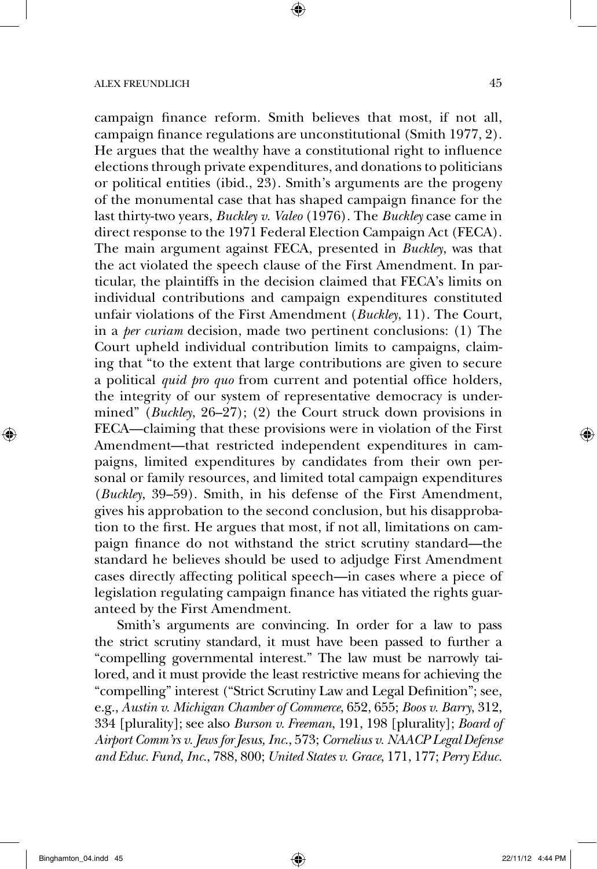campaign finance reform. Smith believes that most, if not all, campaign finance regulations are unconstitutional (Smith 1977, 2). He argues that the wealthy have a constitutional right to influence elections through private expenditures, and donations to politicians or political entities (ibid., 23). Smith's arguments are the progeny of the monumental case that has shaped campaign finance for the last thirty-two years, *Buckley v. Valeo* (1976). The *Buckley* case came in direct response to the 1971 Federal Election Campaign Act (FECA). The main argument against FECA, presented in *Buckley*, was that the act violated the speech clause of the First Amendment. In particular, the plaintiffs in the decision claimed that FECA's limits on individual contributions and campaign expenditures constituted unfair violations of the First Amendment (*Buckley*, 11). The Court, in a *per curiam* decision, made two pertinent conclusions: (1) The Court upheld individual contribution limits to campaigns, claiming that "to the extent that large contributions are given to secure a political *quid pro quo* from current and potential office holders, the integrity of our system of representative democracy is undermined" (*Buckley*, 26–27); (2) the Court struck down provisions in FECA—claiming that these provisions were in violation of the First Amendment—that restricted independent expenditures in campaigns, limited expenditures by candidates from their own personal or family resources, and limited total campaign expenditures (*Buckley*, 39–59). Smith, in his defense of the First Amendment, gives his approbation to the second conclusion, but his disapprobation to the first. He argues that most, if not all, limitations on campaign finance do not withstand the strict scrutiny standard—the standard he believes should be used to adjudge First Amendment cases directly affecting political speech—in cases where a piece of legislation regulating campaign finance has vitiated the rights guaranteed by the First Amendment.

Smith's arguments are convincing. In order for a law to pass the strict scrutiny standard, it must have been passed to further a "compelling governmental interest." The law must be narrowly tailored, and it must provide the least restrictive means for achieving the "compelling" interest ("Strict Scrutiny Law and Legal Definition"; see, e.g., *Austin v. Michigan Chamber of Commerce*, 652, 655; *Boos v. Barry*, 312, 334 [plurality]; see also *Burson v. Freeman*, 191, 198 [plurality]; *Board of Airport Comm'rs v. Jews for Jesus, Inc*., 573; *Cornelius v. NAACP Legal Defense and Educ. Fund, Inc*., 788, 800; *United States v. Grace*, 171, 177; *Perry Educ.*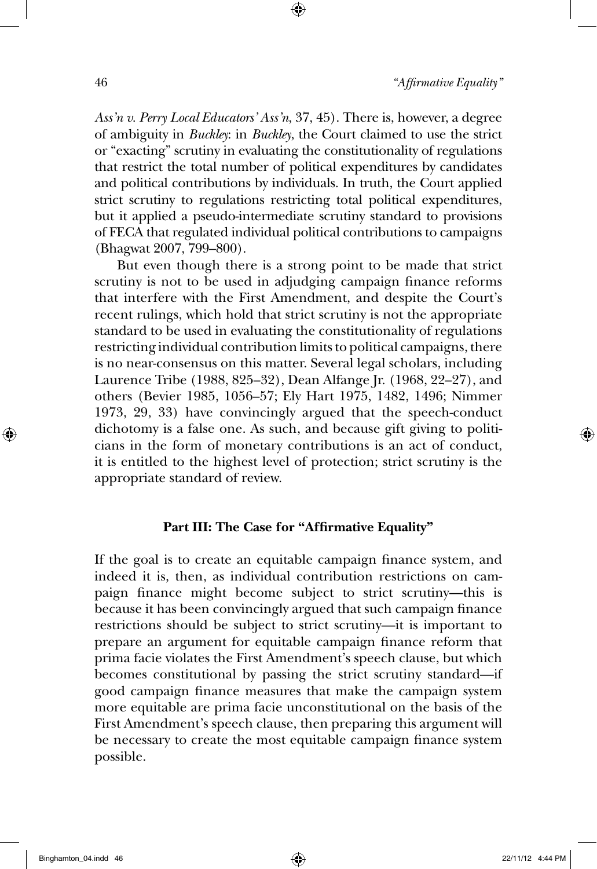*Ass'n v. Perry Local Educators' Ass'n*, 37, 45). There is, however, a degree of ambiguity in *Buckley*: in *Buckley*, the Court claimed to use the strict or "exacting" scrutiny in evaluating the constitutionality of regulations that restrict the total number of political expenditures by candidates and political contributions by individuals. In truth, the Court applied strict scrutiny to regulations restricting total political expenditures, but it applied a pseudo-intermediate scrutiny standard to provisions of FECA that regulated individual political contributions to campaigns (Bhagwat 2007, 799–800).

But even though there is a strong point to be made that strict scrutiny is not to be used in adjudging campaign finance reforms that interfere with the First Amendment, and despite the Court's recent rulings, which hold that strict scrutiny is not the appropriate standard to be used in evaluating the constitutionality of regulations restricting individual contribution limits to political campaigns, there is no near-consensus on this matter. Several legal scholars, including Laurence Tribe (1988, 825–32), Dean Alfange Jr. (1968, 22–27), and others (Bevier 1985, 1056–57; Ely Hart 1975, 1482, 1496; Nimmer 1973, 29, 33) have convincingly argued that the speech-conduct dichotomy is a false one. As such, and because gift giving to politicians in the form of monetary contributions is an act of conduct, it is entitled to the highest level of protection; strict scrutiny is the appropriate standard of review.

### **Part III: The Case for "Affirmative Equality"**

If the goal is to create an equitable campaign finance system, and indeed it is, then, as individual contribution restrictions on campaign finance might become subject to strict scrutiny—this is because it has been convincingly argued that such campaign finance restrictions should be subject to strict scrutiny—it is important to prepare an argument for equitable campaign finance reform that prima facie violates the First Amendment's speech clause, but which becomes constitutional by passing the strict scrutiny standard—if good campaign finance measures that make the campaign system more equitable are prima facie unconstitutional on the basis of the First Amendment's speech clause, then preparing this argument will be necessary to create the most equitable campaign finance system possible.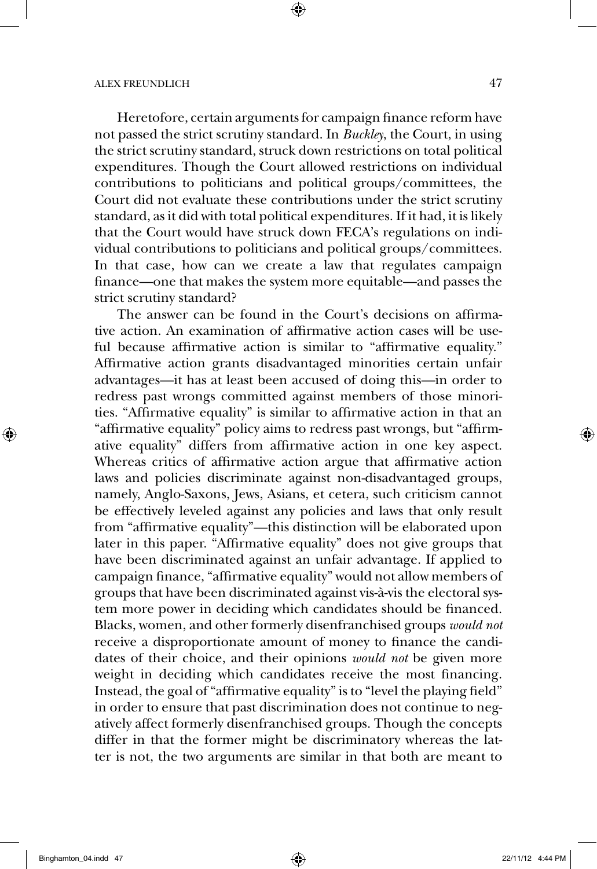Heretofore, certain arguments for campaign finance reform have not passed the strict scrutiny standard. In *Buckley*, the Court, in using the strict scrutiny standard, struck down restrictions on total political expenditures. Though the Court allowed restrictions on individual contributions to politicians and political groups/committees, the Court did not evaluate these contributions under the strict scrutiny standard, as it did with total political expenditures. If it had, it is likely that the Court would have struck down FECA's regulations on individual contributions to politicians and political groups/committees. In that case, how can we create a law that regulates campaign finance—one that makes the system more equitable—and passes the strict scrutiny standard?

The answer can be found in the Court's decisions on affirmative action. An examination of affirmative action cases will be useful because affirmative action is similar to "affirmative equality." Affirmative action grants disadvantaged minorities certain unfair advantages—it has at least been accused of doing this—in order to redress past wrongs committed against members of those minorities. "Affirmative equality" is similar to affirmative action in that an "affirmative equality" policy aims to redress past wrongs, but "affirmative equality" differs from affirmative action in one key aspect. Whereas critics of affirmative action argue that affirmative action laws and policies discriminate against non-disadvantaged groups, namely, Anglo-Saxons, Jews, Asians, et cetera, such criticism cannot be effectively leveled against any policies and laws that only result from "affirmative equality"—this distinction will be elaborated upon later in this paper. "Affirmative equality" does not give groups that have been discriminated against an unfair advantage. If applied to campaign finance, "affirmative equality" would not allow members of groups that have been discriminated against vis-à-vis the electoral system more power in deciding which candidates should be financed. Blacks, women, and other formerly disenfranchised groups *would not* receive a disproportionate amount of money to finance the candidates of their choice, and their opinions *would not* be given more weight in deciding which candidates receive the most financing. Instead, the goal of "affirmative equality" is to "level the playing field" in order to ensure that past discrimination does not continue to negatively affect formerly disenfranchised groups. Though the concepts differ in that the former might be discriminatory whereas the latter is not, the two arguments are similar in that both are meant to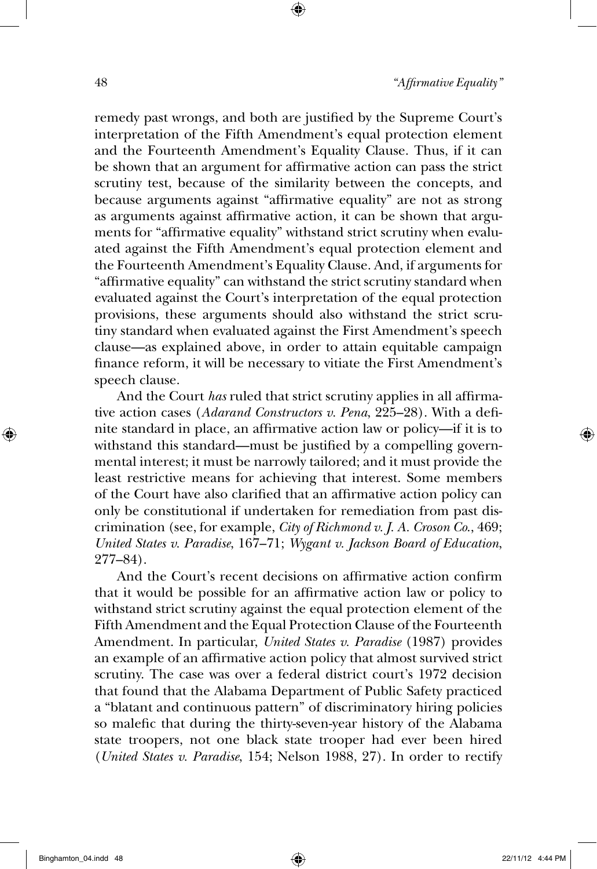remedy past wrongs, and both are justified by the Supreme Court's interpretation of the Fifth Amendment's equal protection element and the Fourteenth Amendment's Equality Clause. Thus, if it can be shown that an argument for affirmative action can pass the strict scrutiny test, because of the similarity between the concepts, and because arguments against "affirmative equality" are not as strong as arguments against affirmative action, it can be shown that arguments for "affirmative equality" withstand strict scrutiny when evaluated against the Fifth Amendment's equal protection element and the Fourteenth Amendment's Equality Clause. And, if arguments for "affirmative equality" can withstand the strict scrutiny standard when evaluated against the Court's interpretation of the equal protection provisions, these arguments should also withstand the strict scrutiny standard when evaluated against the First Amendment's speech clause—as explained above, in order to attain equitable campaign finance reform, it will be necessary to vitiate the First Amendment's speech clause.

And the Court *has* ruled that strict scrutiny applies in all affirmative action cases (*Adarand Constructors v. Pena*, 225–28). With a definite standard in place, an affirmative action law or policy—if it is to withstand this standard—must be justified by a compelling governmental interest; it must be narrowly tailored; and it must provide the least restrictive means for achieving that interest. Some members of the Court have also clarified that an affirmative action policy can only be constitutional if undertaken for remediation from past discrimination (see, for example, *City of Richmond v. J. A. Croson Co*., 469; *United States v. Paradise*, 167–71; *Wygant v. Jackson Board of Education*, 277–84).

And the Court's recent decisions on affirmative action confirm that it would be possible for an affirmative action law or policy to withstand strict scrutiny against the equal protection element of the Fifth Amendment and the Equal Protection Clause of the Fourteenth Amendment. In particular, *United States v. Paradise* (1987) provides an example of an affirmative action policy that almost survived strict scrutiny. The case was over a federal district court's 1972 decision that found that the Alabama Department of Public Safety practiced a "blatant and continuous pattern" of discriminatory hiring policies so malefic that during the thirty-seven-year history of the Alabama state troopers, not one black state trooper had ever been hired (*United States v. Paradise*, 154; Nelson 1988, 27). In order to rectify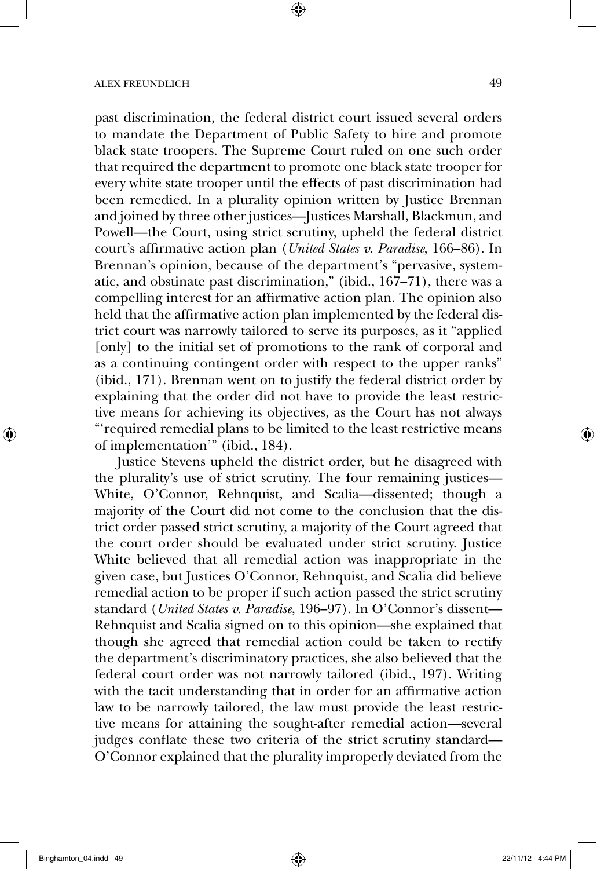past discrimination, the federal district court issued several orders to mandate the Department of Public Safety to hire and promote black state troopers. The Supreme Court ruled on one such order that required the department to promote one black state trooper for every white state trooper until the effects of past discrimination had been remedied. In a plurality opinion written by Justice Brennan and joined by three other justices—Justices Marshall, Blackmun, and Powell—the Court, using strict scrutiny, upheld the federal district court's affirmative action plan (*United States v. Paradise*, 166–86). In Brennan's opinion, because of the department's "pervasive, systematic, and obstinate past discrimination," (ibid., 167–71), there was a compelling interest for an affirmative action plan. The opinion also held that the affirmative action plan implemented by the federal district court was narrowly tailored to serve its purposes, as it "applied [only] to the initial set of promotions to the rank of corporal and as a continuing contingent order with respect to the upper ranks" (ibid., 171). Brennan went on to justify the federal district order by explaining that the order did not have to provide the least restrictive means for achieving its objectives, as the Court has not always "'required remedial plans to be limited to the least restrictive means of implementation'" (ibid., 184).

Justice Stevens upheld the district order, but he disagreed with the plurality's use of strict scrutiny. The four remaining justices— White, O'Connor, Rehnquist, and Scalia—dissented; though a majority of the Court did not come to the conclusion that the district order passed strict scrutiny, a majority of the Court agreed that the court order should be evaluated under strict scrutiny. Justice White believed that all remedial action was inappropriate in the given case, but Justices O'Connor, Rehnquist, and Scalia did believe remedial action to be proper if such action passed the strict scrutiny standard (*United States v. Paradise*, 196–97). In O'Connor's dissent— Rehnquist and Scalia signed on to this opinion—she explained that though she agreed that remedial action could be taken to rectify the department's discriminatory practices, she also believed that the federal court order was not narrowly tailored (ibid., 197). Writing with the tacit understanding that in order for an affirmative action law to be narrowly tailored, the law must provide the least restrictive means for attaining the sought-after remedial action—several judges conflate these two criteria of the strict scrutiny standard— O'Connor explained that the plurality improperly deviated from the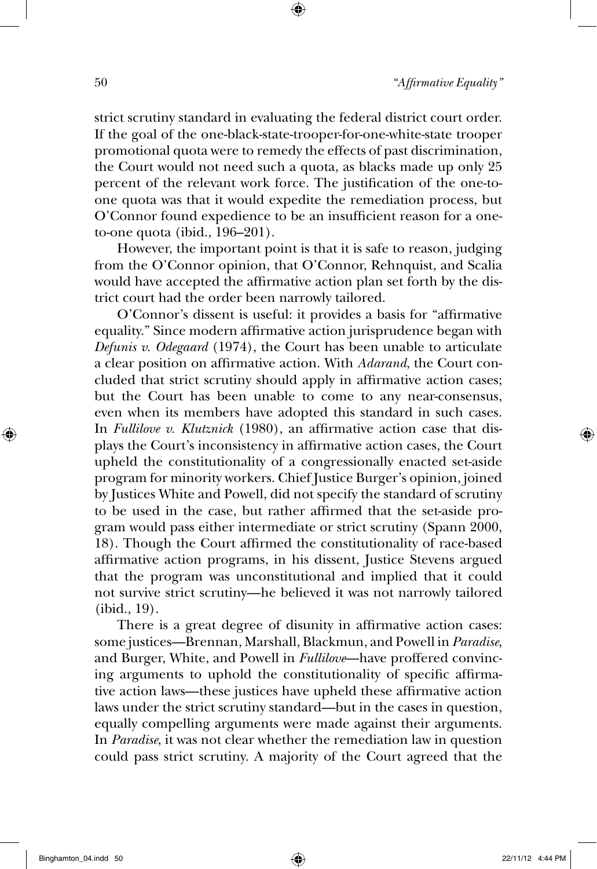strict scrutiny standard in evaluating the federal district court order. If the goal of the one-black-state-trooper-for-one-white-state trooper promotional quota were to remedy the effects of past discrimination, the Court would not need such a quota, as blacks made up only 25 percent of the relevant work force. The justification of the one-toone quota was that it would expedite the remediation process, but O'Connor found expedience to be an insufficient reason for a oneto-one quota (ibid., 196–201).

However, the important point is that it is safe to reason, judging from the O'Connor opinion, that O'Connor, Rehnquist, and Scalia would have accepted the affirmative action plan set forth by the district court had the order been narrowly tailored.

O'Connor's dissent is useful: it provides a basis for "affirmative equality." Since modern affirmative action jurisprudence began with *Defunis v. Odegaard* (1974), the Court has been unable to articulate a clear position on affirmative action. With *Adarand*, the Court concluded that strict scrutiny should apply in affirmative action cases; but the Court has been unable to come to any near-consensus, even when its members have adopted this standard in such cases. In *Fullilove v. Klutznick* (1980), an affirmative action case that displays the Court's inconsistency in affirmative action cases, the Court upheld the constitutionality of a congressionally enacted set-aside program for minority workers. Chief Justice Burger's opinion, joined by Justices White and Powell, did not specify the standard of scrutiny to be used in the case, but rather affirmed that the set-aside program would pass either intermediate or strict scrutiny (Spann 2000, 18). Though the Court affirmed the constitutionality of race-based affirmative action programs, in his dissent, Justice Stevens argued that the program was unconstitutional and implied that it could not survive strict scrutiny—he believed it was not narrowly tailored (ibid., 19).

There is a great degree of disunity in affirmative action cases: some justices—Brennan, Marshall, Blackmun, and Powell in *Paradise*, and Burger, White, and Powell in *Fullilove*—have proffered convincing arguments to uphold the constitutionality of specific affirmative action laws—these justices have upheld these affirmative action laws under the strict scrutiny standard—but in the cases in question, equally compelling arguments were made against their arguments. In *Paradise*, it was not clear whether the remediation law in question could pass strict scrutiny. A majority of the Court agreed that the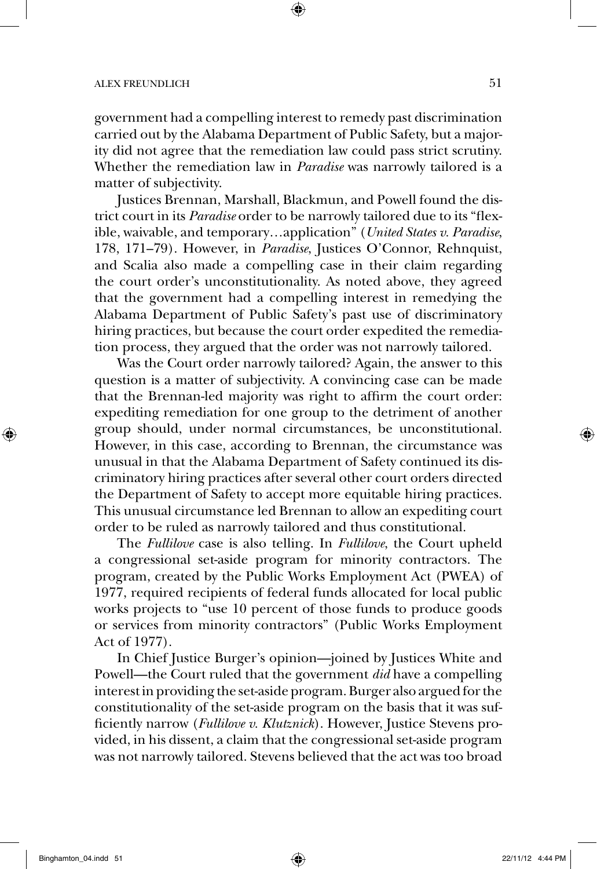government had a compelling interest to remedy past discrimination carried out by the Alabama Department of Public Safety, but a majority did not agree that the remediation law could pass strict scrutiny. Whether the remediation law in *Paradise* was narrowly tailored is a matter of subjectivity.

Justices Brennan, Marshall, Blackmun, and Powell found the district court in its *Paradise* order to be narrowly tailored due to its "flexible, waivable, and temporary…application" (*United States v. Paradise*, 178, 171–79). However, in *Paradise*, Justices O'Connor, Rehnquist, and Scalia also made a compelling case in their claim regarding the court order's unconstitutionality. As noted above, they agreed that the government had a compelling interest in remedying the Alabama Department of Public Safety's past use of discriminatory hiring practices, but because the court order expedited the remediation process, they argued that the order was not narrowly tailored.

Was the Court order narrowly tailored? Again, the answer to this question is a matter of subjectivity. A convincing case can be made that the Brennan-led majority was right to affirm the court order: expediting remediation for one group to the detriment of another group should, under normal circumstances, be unconstitutional. However, in this case, according to Brennan, the circumstance was unusual in that the Alabama Department of Safety continued its discriminatory hiring practices after several other court orders directed the Department of Safety to accept more equitable hiring practices. This unusual circumstance led Brennan to allow an expediting court order to be ruled as narrowly tailored and thus constitutional.

The *Fullilove* case is also telling. In *Fullilove*, the Court upheld a congressional set-aside program for minority contractors. The program, created by the Public Works Employment Act (PWEA) of 1977, required recipients of federal funds allocated for local public works projects to "use 10 percent of those funds to produce goods or services from minority contractors" (Public Works Employment Act of 1977).

In Chief Justice Burger's opinion—joined by Justices White and Powell—the Court ruled that the government *did* have a compelling interest in providing the set-aside program. Burger also argued for the constitutionality of the set-aside program on the basis that it was sufficiently narrow (*Fullilove v. Klutznick*). However, Justice Stevens provided, in his dissent, a claim that the congressional set-aside program was not narrowly tailored. Stevens believed that the act was too broad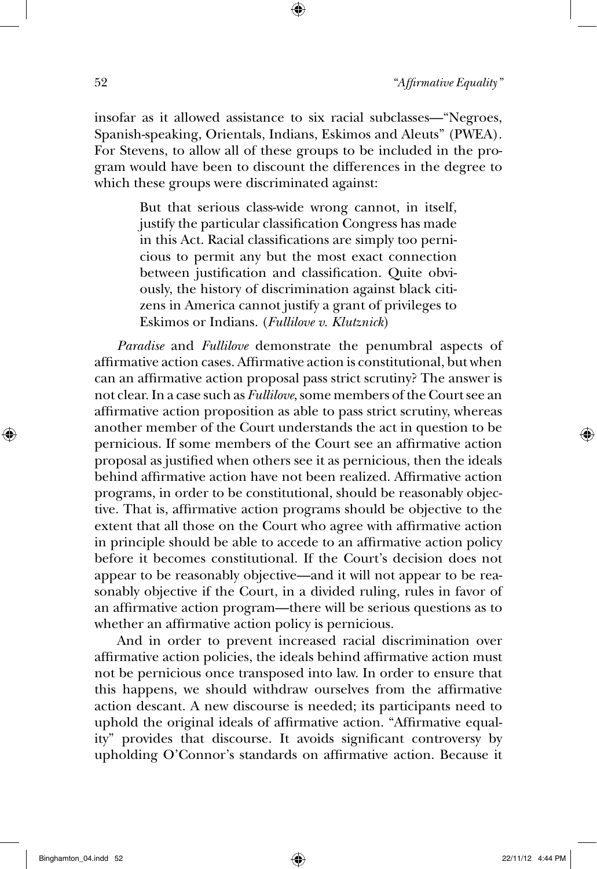insofar as it allowed assistance to six racial subclasses—"Negroes, Spanish-speaking, Orientals, Indians, Eskimos and Aleuts" (PWEA). For Stevens, to allow all of these groups to be included in the program would have been to discount the differences in the degree to which these groups were discriminated against:

> But that serious class-wide wrong cannot, in itself, justify the particular classification Congress has made in this Act. Racial classifications are simply too pernicious to permit any but the most exact connection between justification and classification. Quite obviously, the history of discrimination against black citizens in America cannot justify a grant of privileges to Eskimos or Indians. (*Fullilove v. Klutznick*)

*Paradise* and *Fullilove* demonstrate the penumbral aspects of affirmative action cases. Affirmative action is constitutional, but when can an affirmative action proposal pass strict scrutiny? The answer is not clear. In a case such as *Fullilove*, some members of the Court see an affirmative action proposition as able to pass strict scrutiny, whereas another member of the Court understands the act in question to be pernicious. If some members of the Court see an affirmative action proposal as justified when others see it as pernicious, then the ideals behind affirmative action have not been realized. Affirmative action programs, in order to be constitutional, should be reasonably objective. That is, affirmative action programs should be objective to the extent that all those on the Court who agree with affirmative action in principle should be able to accede to an affirmative action policy before it becomes constitutional. If the Court's decision does not appear to be reasonably objective—and it will not appear to be reasonably objective if the Court, in a divided ruling, rules in favor of an affirmative action program—there will be serious questions as to whether an affirmative action policy is pernicious.

And in order to prevent increased racial discrimination over affirmative action policies, the ideals behind affirmative action must not be pernicious once transposed into law. In order to ensure that this happens, we should withdraw ourselves from the affirmative action descant. A new discourse is needed; its participants need to uphold the original ideals of affirmative action. "Affirmative equality" provides that discourse. It avoids significant controversy by upholding O'Connor's standards on affirmative action. Because it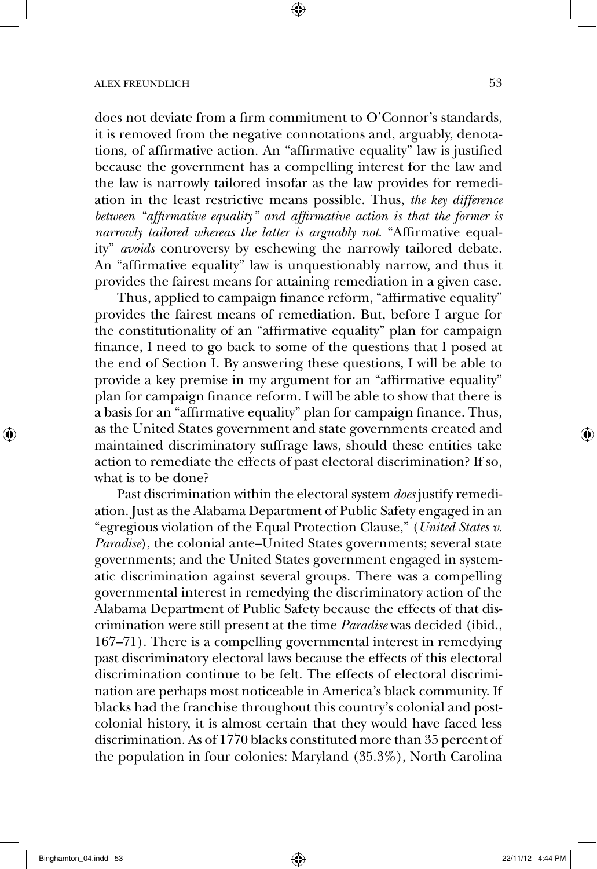does not deviate from a firm commitment to O'Connor's standards, it is removed from the negative connotations and, arguably, denotations, of affirmative action. An "affirmative equality" law is justified because the government has a compelling interest for the law and the law is narrowly tailored insofar as the law provides for remediation in the least restrictive means possible. Thus, *the key difference between "affirmative equality" and affirmative action is that the former is narrowly tailored whereas the latter is arguably not*. "Affirmative equality" *avoids* controversy by eschewing the narrowly tailored debate. An "affirmative equality" law is unquestionably narrow, and thus it provides the fairest means for attaining remediation in a given case.

Thus, applied to campaign finance reform, "affirmative equality" provides the fairest means of remediation. But, before I argue for the constitutionality of an "affirmative equality" plan for campaign finance, I need to go back to some of the questions that I posed at the end of Section I. By answering these questions, I will be able to provide a key premise in my argument for an "affirmative equality" plan for campaign finance reform. I will be able to show that there is a basis for an "affirmative equality" plan for campaign finance. Thus, as the United States government and state governments created and maintained discriminatory suffrage laws, should these entities take action to remediate the effects of past electoral discrimination? If so, what is to be done?

Past discrimination within the electoral system *does* justify remediation. Just as the Alabama Department of Public Safety engaged in an "egregious violation of the Equal Protection Clause," (*United States v. Paradise*), the colonial ante–United States governments; several state governments; and the United States government engaged in systematic discrimination against several groups. There was a compelling governmental interest in remedying the discriminatory action of the Alabama Department of Public Safety because the effects of that discrimination were still present at the time *Paradise* was decided (ibid., 167–71). There is a compelling governmental interest in remedying past discriminatory electoral laws because the effects of this electoral discrimination continue to be felt. The effects of electoral discrimination are perhaps most noticeable in America's black community. If blacks had the franchise throughout this country's colonial and postcolonial history, it is almost certain that they would have faced less discrimination. As of 1770 blacks constituted more than 35 percent of the population in four colonies: Maryland (35.3%), North Carolina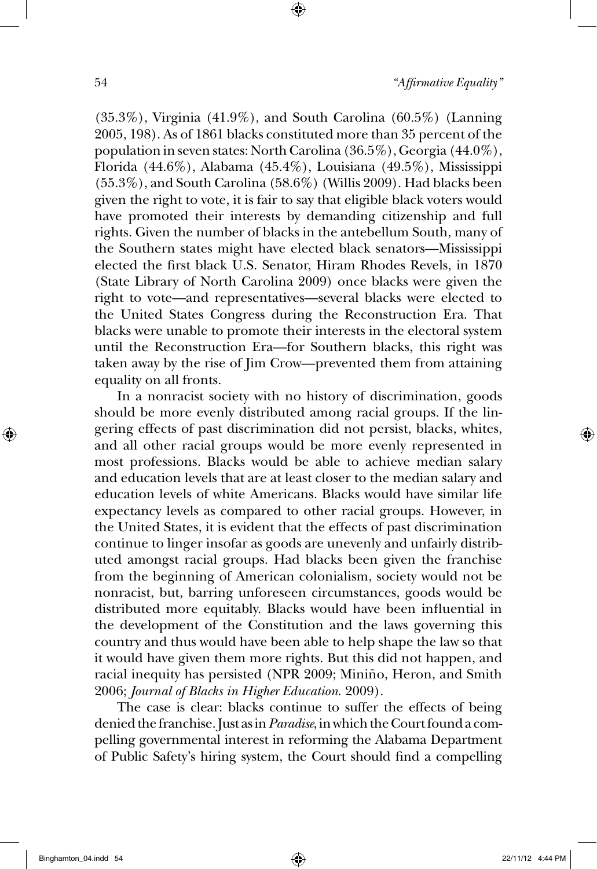(35.3%), Virginia (41.9%), and South Carolina (60.5%) (Lanning 2005, 198). As of 1861 blacks constituted more than 35 percent of the population in seven states: North Carolina (36.5%), Georgia (44.0%), Florida (44.6%), Alabama (45.4%), Louisiana (49.5%), Mississippi (55.3%), and South Carolina (58.6%) (Willis 2009). Had blacks been given the right to vote, it is fair to say that eligible black voters would have promoted their interests by demanding citizenship and full rights. Given the number of blacks in the antebellum South, many of the Southern states might have elected black senators—Mississippi elected the first black U.S. Senator, Hiram Rhodes Revels, in 1870 (State Library of North Carolina 2009) once blacks were given the right to vote—and representatives—several blacks were elected to the United States Congress during the Reconstruction Era. That blacks were unable to promote their interests in the electoral system until the Reconstruction Era—for Southern blacks, this right was taken away by the rise of Jim Crow—prevented them from attaining equality on all fronts.

In a nonracist society with no history of discrimination, goods should be more evenly distributed among racial groups. If the lingering effects of past discrimination did not persist, blacks, whites, and all other racial groups would be more evenly represented in most professions. Blacks would be able to achieve median salary and education levels that are at least closer to the median salary and education levels of white Americans. Blacks would have similar life expectancy levels as compared to other racial groups. However, in the United States, it is evident that the effects of past discrimination continue to linger insofar as goods are unevenly and unfairly distributed amongst racial groups. Had blacks been given the franchise from the beginning of American colonialism, society would not be nonracist, but, barring unforeseen circumstances, goods would be distributed more equitably. Blacks would have been influential in the development of the Constitution and the laws governing this country and thus would have been able to help shape the law so that it would have given them more rights. But this did not happen, and racial inequity has persisted (NPR 2009; Miniño, Heron, and Smith 2006; *Journal of Blacks in Higher Education*. 2009).

The case is clear: blacks continue to suffer the effects of being denied the franchise. Just as in *Paradise*, in which the Court found a compelling governmental interest in reforming the Alabama Department of Public Safety's hiring system, the Court should find a compelling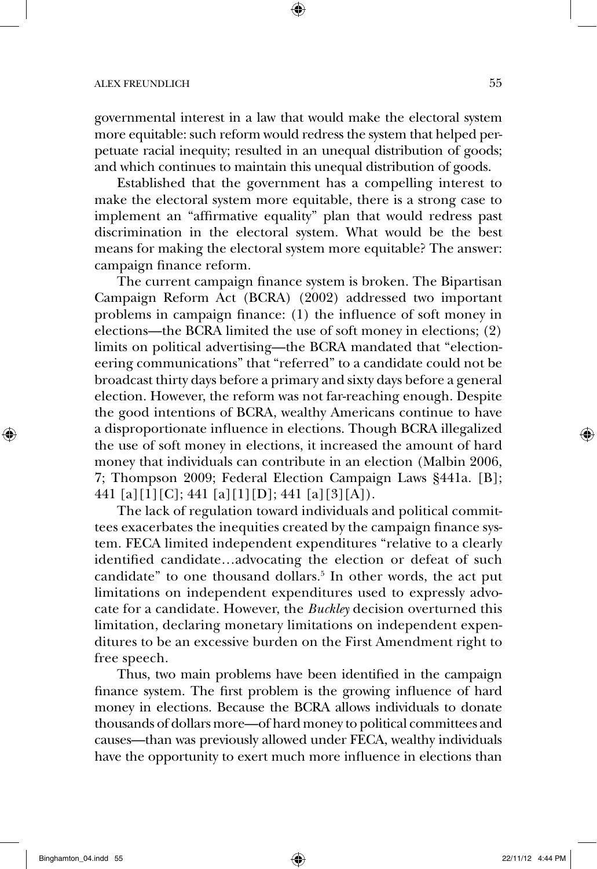governmental interest in a law that would make the electoral system more equitable: such reform would redress the system that helped perpetuate racial inequity; resulted in an unequal distribution of goods; and which continues to maintain this unequal distribution of goods.

Established that the government has a compelling interest to make the electoral system more equitable, there is a strong case to implement an "affirmative equality" plan that would redress past discrimination in the electoral system. What would be the best means for making the electoral system more equitable? The answer: campaign finance reform.

The current campaign finance system is broken. The Bipartisan Campaign Reform Act (BCRA) (2002) addressed two important problems in campaign finance: (1) the influence of soft money in elections—the BCRA limited the use of soft money in elections; (2) limits on political advertising—the BCRA mandated that "electioneering communications" that "referred" to a candidate could not be broadcast thirty days before a primary and sixty days before a general election. However, the reform was not far-reaching enough. Despite the good intentions of BCRA, wealthy Americans continue to have a disproportionate influence in elections. Though BCRA illegalized the use of soft money in elections, it increased the amount of hard money that individuals can contribute in an election (Malbin 2006, 7; Thompson 2009; Federal Election Campaign Laws §441a. [B]; 441 [a][1][C]; 441 [a][1][D]; 441 [a][3][A]).

The lack of regulation toward individuals and political committees exacerbates the inequities created by the campaign finance system. FECA limited independent expenditures "relative to a clearly identified candidate…advocating the election or defeat of such candidate" to one thousand dollars.<sup>5</sup> In other words, the act put limitations on independent expenditures used to expressly advocate for a candidate. However, the *Buckley* decision overturned this limitation, declaring monetary limitations on independent expenditures to be an excessive burden on the First Amendment right to free speech.

Thus, two main problems have been identified in the campaign finance system. The first problem is the growing influence of hard money in elections. Because the BCRA allows individuals to donate thousands of dollars more—of hard money to political committees and causes—than was previously allowed under FECA, wealthy individuals have the opportunity to exert much more influence in elections than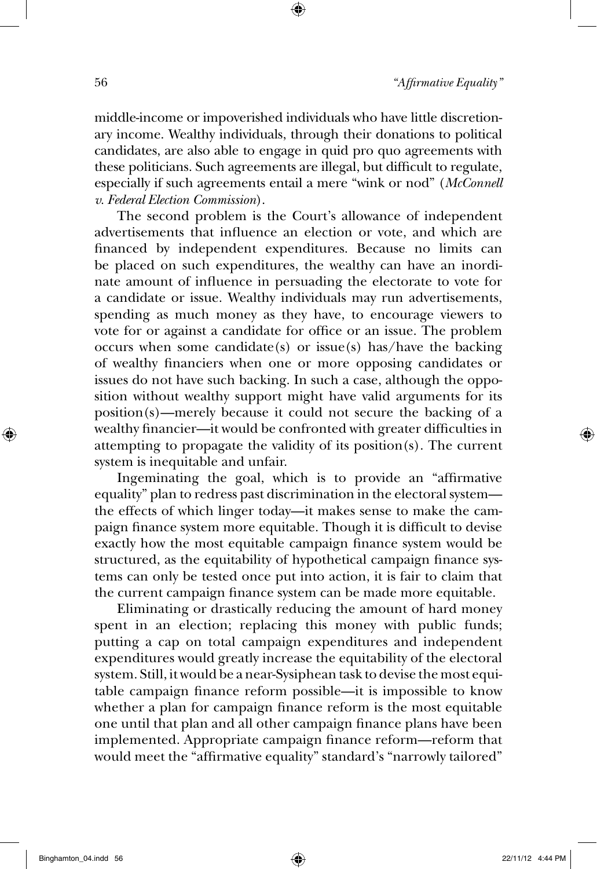middle-income or impoverished individuals who have little discretionary income. Wealthy individuals, through their donations to political candidates, are also able to engage in quid pro quo agreements with these politicians. Such agreements are illegal, but difficult to regulate, especially if such agreements entail a mere "wink or nod" (*McConnell v. Federal Election Commission*).

The second problem is the Court's allowance of independent advertisements that influence an election or vote, and which are financed by independent expenditures. Because no limits can be placed on such expenditures, the wealthy can have an inordinate amount of influence in persuading the electorate to vote for a candidate or issue. Wealthy individuals may run advertisements, spending as much money as they have, to encourage viewers to vote for or against a candidate for office or an issue. The problem occurs when some candidate(s) or issue(s) has/have the backing of wealthy financiers when one or more opposing candidates or issues do not have such backing. In such a case, although the opposition without wealthy support might have valid arguments for its position(s)—merely because it could not secure the backing of a wealthy financier—it would be confronted with greater difficulties in attempting to propagate the validity of its position(s). The current system is inequitable and unfair.

Ingeminating the goal, which is to provide an "affirmative equality" plan to redress past discrimination in the electoral system the effects of which linger today—it makes sense to make the campaign finance system more equitable. Though it is difficult to devise exactly how the most equitable campaign finance system would be structured, as the equitability of hypothetical campaign finance systems can only be tested once put into action, it is fair to claim that the current campaign finance system can be made more equitable.

Eliminating or drastically reducing the amount of hard money spent in an election; replacing this money with public funds; putting a cap on total campaign expenditures and independent expenditures would greatly increase the equitability of the electoral system. Still, it would be a near-Sysiphean task to devise the most equitable campaign finance reform possible—it is impossible to know whether a plan for campaign finance reform is the most equitable one until that plan and all other campaign finance plans have been implemented. Appropriate campaign finance reform—reform that would meet the "affirmative equality" standard's "narrowly tailored"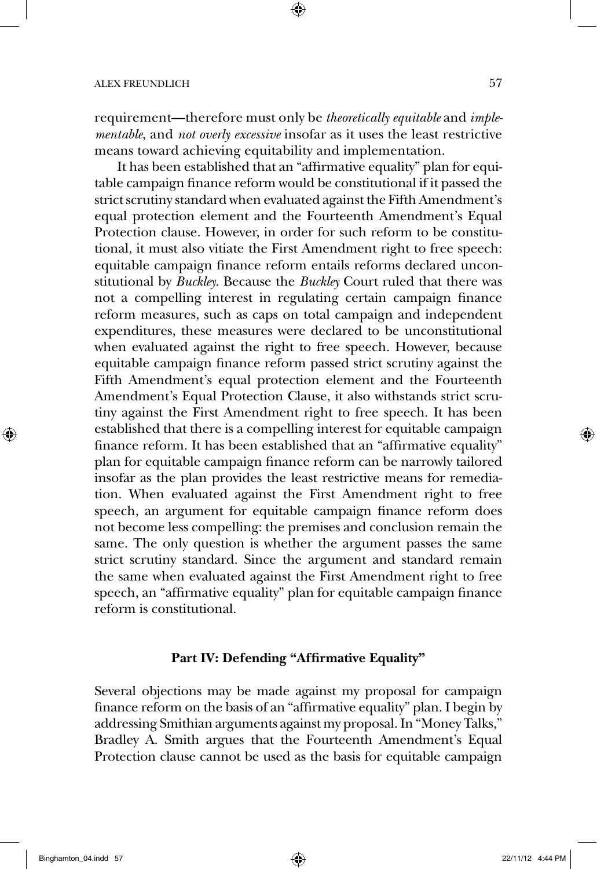requirement—therefore must only be *theoretically equitable* and *implementable*, and *not overly excessive* insofar as it uses the least restrictive means toward achieving equitability and implementation.

It has been established that an "affirmative equality" plan for equitable campaign finance reform would be constitutional if it passed the strict scrutiny standard when evaluated against the Fifth Amendment's equal protection element and the Fourteenth Amendment's Equal Protection clause. However, in order for such reform to be constitutional, it must also vitiate the First Amendment right to free speech: equitable campaign finance reform entails reforms declared unconstitutional by *Buckley*. Because the *Buckley* Court ruled that there was not a compelling interest in regulating certain campaign finance reform measures, such as caps on total campaign and independent expenditures, these measures were declared to be unconstitutional when evaluated against the right to free speech. However, because equitable campaign finance reform passed strict scrutiny against the Fifth Amendment's equal protection element and the Fourteenth Amendment's Equal Protection Clause, it also withstands strict scrutiny against the First Amendment right to free speech. It has been established that there is a compelling interest for equitable campaign finance reform. It has been established that an "affirmative equality" plan for equitable campaign finance reform can be narrowly tailored insofar as the plan provides the least restrictive means for remediation. When evaluated against the First Amendment right to free speech, an argument for equitable campaign finance reform does not become less compelling: the premises and conclusion remain the same. The only question is whether the argument passes the same strict scrutiny standard. Since the argument and standard remain the same when evaluated against the First Amendment right to free speech, an "affirmative equality" plan for equitable campaign finance reform is constitutional.

### **Part IV: Defending "Affirmative Equality"**

Several objections may be made against my proposal for campaign finance reform on the basis of an "affirmative equality" plan. I begin by addressing Smithian arguments against my proposal. In "Money Talks," Bradley A. Smith argues that the Fourteenth Amendment's Equal Protection clause cannot be used as the basis for equitable campaign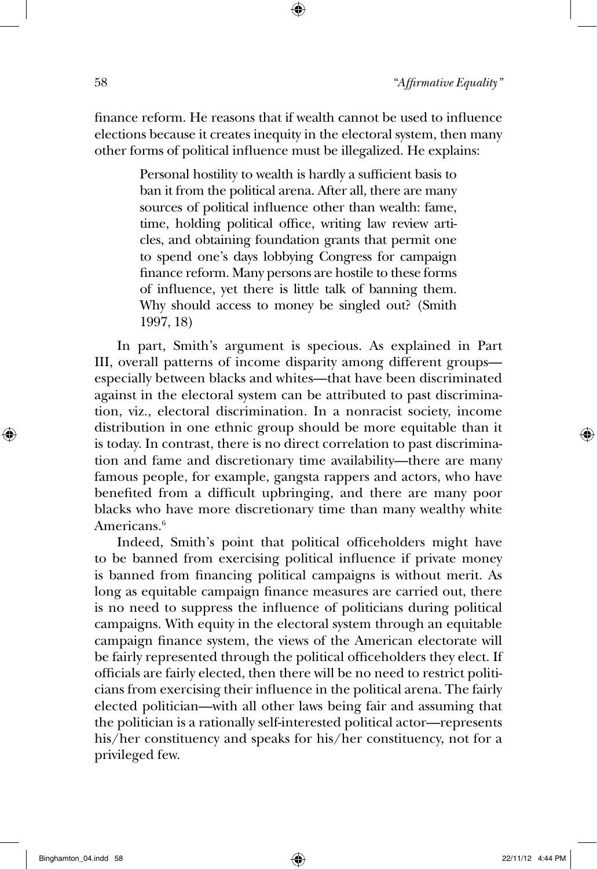finance reform. He reasons that if wealth cannot be used to influence elections because it creates inequity in the electoral system, then many other forms of political influence must be illegalized. He explains:

> Personal hostility to wealth is hardly a sufficient basis to ban it from the political arena. After all, there are many sources of political influence other than wealth: fame, time, holding political office, writing law review articles, and obtaining foundation grants that permit one to spend one's days lobbying Congress for campaign finance reform. Many persons are hostile to these forms of influence, yet there is little talk of banning them. Why should access to money be singled out? (Smith 1997, 18)

In part, Smith's argument is specious. As explained in Part III, overall patterns of income disparity among different groups especially between blacks and whites—that have been discriminated against in the electoral system can be attributed to past discrimination, viz., electoral discrimination. In a nonracist society, income distribution in one ethnic group should be more equitable than it is today. In contrast, there is no direct correlation to past discrimination and fame and discretionary time availability—there are many famous people, for example, gangsta rappers and actors, who have benefited from a difficult upbringing, and there are many poor blacks who have more discretionary time than many wealthy white Americans.<sup>6</sup>

Indeed, Smith's point that political officeholders might have to be banned from exercising political influence if private money is banned from financing political campaigns is without merit. As long as equitable campaign finance measures are carried out, there is no need to suppress the influence of politicians during political campaigns. With equity in the electoral system through an equitable campaign finance system, the views of the American electorate will be fairly represented through the political officeholders they elect. If officials are fairly elected, then there will be no need to restrict politicians from exercising their influence in the political arena. The fairly elected politician—with all other laws being fair and assuming that the politician is a rationally self-interested political actor—represents his/her constituency and speaks for his/her constituency, not for a privileged few.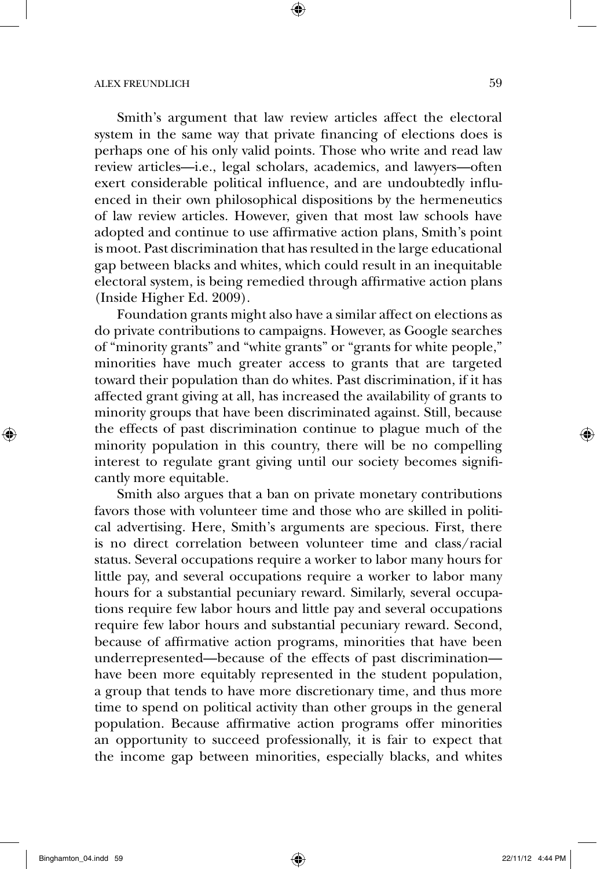Smith's argument that law review articles affect the electoral system in the same way that private financing of elections does is perhaps one of his only valid points. Those who write and read law review articles—i.e., legal scholars, academics, and lawyers—often exert considerable political influence, and are undoubtedly influenced in their own philosophical dispositions by the hermeneutics of law review articles. However, given that most law schools have adopted and continue to use affirmative action plans, Smith's point is moot. Past discrimination that has resulted in the large educational gap between blacks and whites, which could result in an inequitable electoral system, is being remedied through affirmative action plans (Inside Higher Ed. 2009).

Foundation grants might also have a similar affect on elections as do private contributions to campaigns. However, as Google searches of "minority grants" and "white grants" or "grants for white people," minorities have much greater access to grants that are targeted toward their population than do whites. Past discrimination, if it has affected grant giving at all, has increased the availability of grants to minority groups that have been discriminated against. Still, because the effects of past discrimination continue to plague much of the minority population in this country, there will be no compelling interest to regulate grant giving until our society becomes significantly more equitable.

Smith also argues that a ban on private monetary contributions favors those with volunteer time and those who are skilled in political advertising. Here, Smith's arguments are specious. First, there is no direct correlation between volunteer time and class/racial status. Several occupations require a worker to labor many hours for little pay, and several occupations require a worker to labor many hours for a substantial pecuniary reward. Similarly, several occupations require few labor hours and little pay and several occupations require few labor hours and substantial pecuniary reward. Second, because of affirmative action programs, minorities that have been underrepresented—because of the effects of past discrimination have been more equitably represented in the student population, a group that tends to have more discretionary time, and thus more time to spend on political activity than other groups in the general population. Because affirmative action programs offer minorities an opportunity to succeed professionally, it is fair to expect that the income gap between minorities, especially blacks, and whites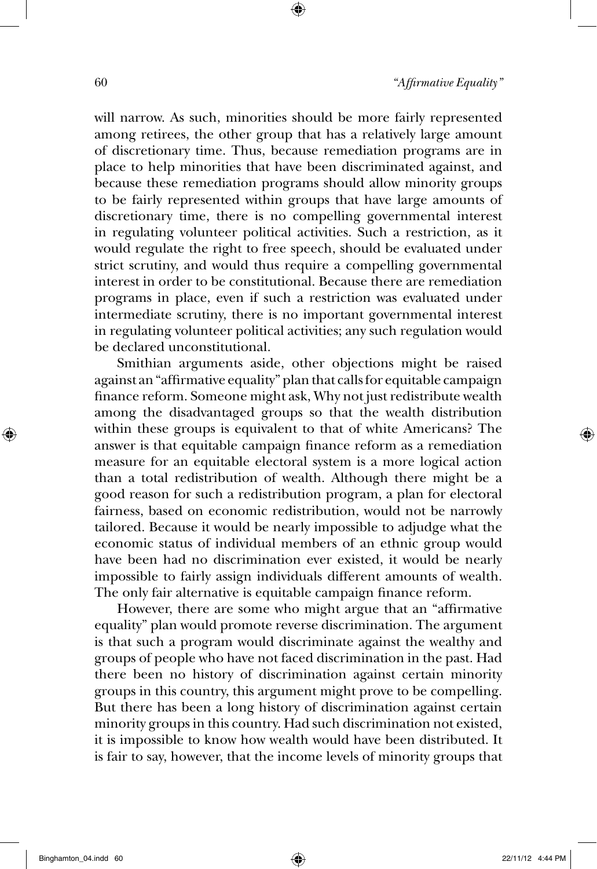will narrow. As such, minorities should be more fairly represented among retirees, the other group that has a relatively large amount of discretionary time. Thus, because remediation programs are in place to help minorities that have been discriminated against, and because these remediation programs should allow minority groups to be fairly represented within groups that have large amounts of discretionary time, there is no compelling governmental interest in regulating volunteer political activities. Such a restriction, as it would regulate the right to free speech, should be evaluated under strict scrutiny, and would thus require a compelling governmental interest in order to be constitutional. Because there are remediation programs in place, even if such a restriction was evaluated under intermediate scrutiny, there is no important governmental interest in regulating volunteer political activities; any such regulation would be declared unconstitutional.

Smithian arguments aside, other objections might be raised against an "affirmative equality" plan that calls for equitable campaign finance reform. Someone might ask, Why not just redistribute wealth among the disadvantaged groups so that the wealth distribution within these groups is equivalent to that of white Americans? The answer is that equitable campaign finance reform as a remediation measure for an equitable electoral system is a more logical action than a total redistribution of wealth. Although there might be a good reason for such a redistribution program, a plan for electoral fairness, based on economic redistribution, would not be narrowly tailored. Because it would be nearly impossible to adjudge what the economic status of individual members of an ethnic group would have been had no discrimination ever existed, it would be nearly impossible to fairly assign individuals different amounts of wealth. The only fair alternative is equitable campaign finance reform.

However, there are some who might argue that an "affirmative equality" plan would promote reverse discrimination. The argument is that such a program would discriminate against the wealthy and groups of people who have not faced discrimination in the past. Had there been no history of discrimination against certain minority groups in this country, this argument might prove to be compelling. But there has been a long history of discrimination against certain minority groups in this country. Had such discrimination not existed, it is impossible to know how wealth would have been distributed. It is fair to say, however, that the income levels of minority groups that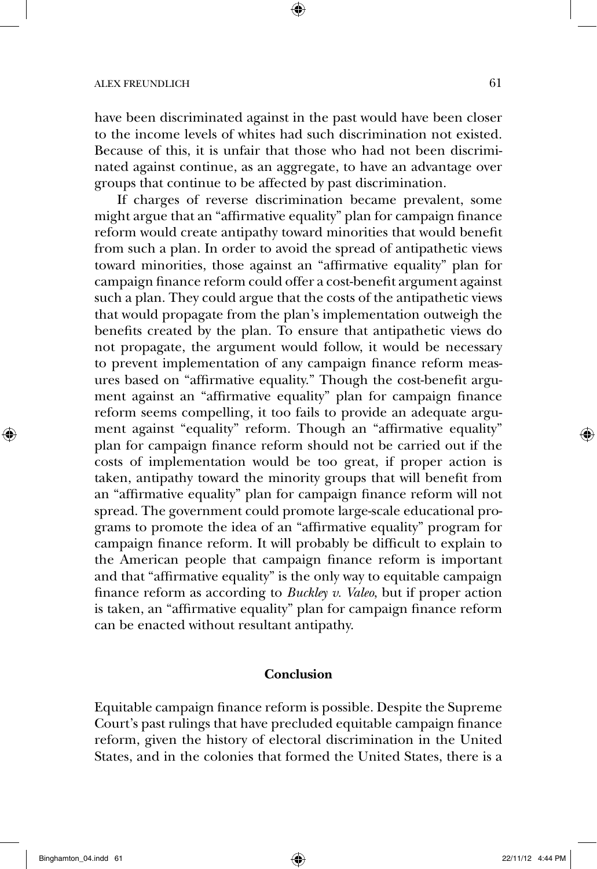have been discriminated against in the past would have been closer to the income levels of whites had such discrimination not existed. Because of this, it is unfair that those who had not been discriminated against continue, as an aggregate, to have an advantage over groups that continue to be affected by past discrimination.

If charges of reverse discrimination became prevalent, some might argue that an "affirmative equality" plan for campaign finance reform would create antipathy toward minorities that would benefit from such a plan. In order to avoid the spread of antipathetic views toward minorities, those against an "affirmative equality" plan for campaign finance reform could offer a cost-benefit argument against such a plan. They could argue that the costs of the antipathetic views that would propagate from the plan's implementation outweigh the benefits created by the plan. To ensure that antipathetic views do not propagate, the argument would follow, it would be necessary to prevent implementation of any campaign finance reform measures based on "affirmative equality." Though the cost-benefit argument against an "affirmative equality" plan for campaign finance reform seems compelling, it too fails to provide an adequate argument against "equality" reform. Though an "affirmative equality" plan for campaign finance reform should not be carried out if the costs of implementation would be too great, if proper action is taken, antipathy toward the minority groups that will benefit from an "affirmative equality" plan for campaign finance reform will not spread. The government could promote large-scale educational programs to promote the idea of an "affirmative equality" program for campaign finance reform. It will probably be difficult to explain to the American people that campaign finance reform is important and that "affirmative equality" is the only way to equitable campaign finance reform as according to *Buckley v. Valeo*, but if proper action is taken, an "affirmative equality" plan for campaign finance reform can be enacted without resultant antipathy.

#### **Conclusion**

Equitable campaign finance reform is possible. Despite the Supreme Court's past rulings that have precluded equitable campaign finance reform, given the history of electoral discrimination in the United States, and in the colonies that formed the United States, there is a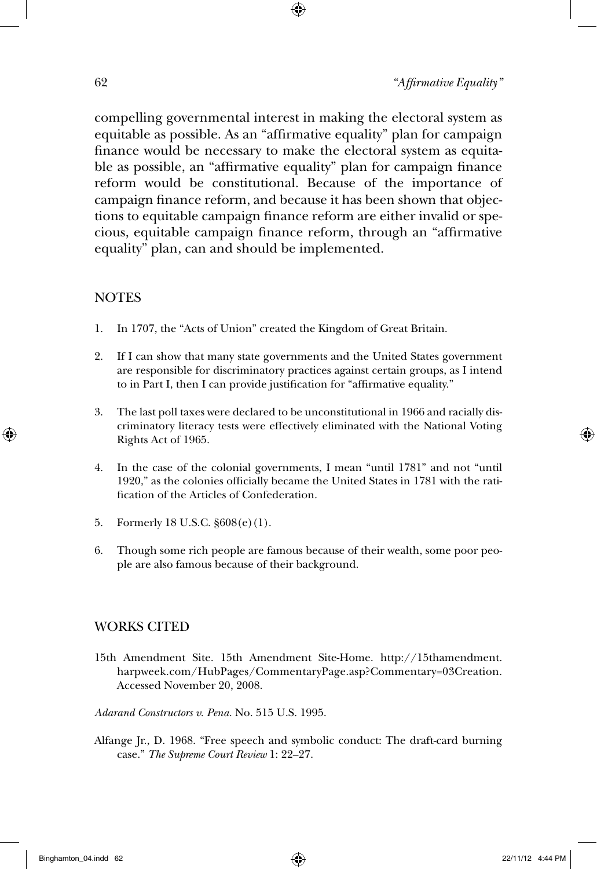compelling governmental interest in making the electoral system as equitable as possible. As an "affirmative equality" plan for campaign finance would be necessary to make the electoral system as equitable as possible, an "affirmative equality" plan for campaign finance reform would be constitutional. Because of the importance of campaign finance reform, and because it has been shown that objections to equitable campaign finance reform are either invalid or specious, equitable campaign finance reform, through an "affirmative equality" plan, can and should be implemented.

# **NOTES**

- 1. In 1707, the "Acts of Union" created the Kingdom of Great Britain.
- 2. If I can show that many state governments and the United States government are responsible for discriminatory practices against certain groups, as I intend to in Part I, then I can provide justification for "affirmative equality."
- 3. The last poll taxes were declared to be unconstitutional in 1966 and racially discriminatory literacy tests were effectively eliminated with the National Voting Rights Act of 1965.
- 4. In the case of the colonial governments, I mean "until 1781" and not "until 1920," as the colonies officially became the United States in 1781 with the ratification of the Articles of Confederation.
- 5. Formerly 18 U.S.C. §608(e)(1).
- 6. Though some rich people are famous because of their wealth, some poor people are also famous because of their background.

# WORKS CITED

- 15th Amendment Site. 15th Amendment Site-Home. http://15thamendment. harpweek.com/HubPages/CommentaryPage.asp?Commentary=03Creation. Accessed November 20, 2008.
- *Adarand Constructors v. Pena.* No. 515 U.S. 1995.
- Alfange Jr., D. 1968. "Free speech and symbolic conduct: The draft-card burning case." *The Supreme Court Review* 1: 22–27.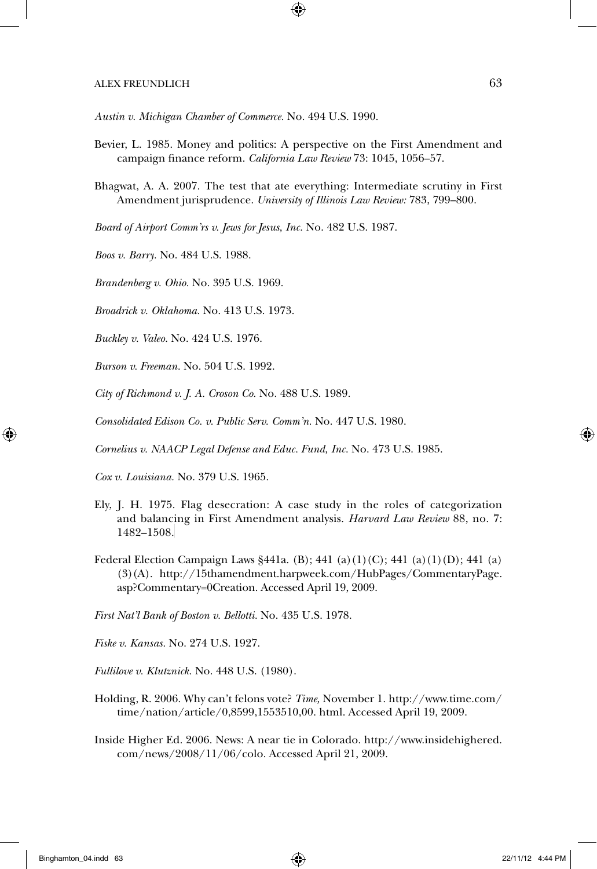*Austin v. Michigan Chamber of Commerce.* No. 494 U.S. 1990.

- Bevier, L. 1985. Money and politics: A perspective on the First Amendment and campaign finance reform. *California Law Review* 73: 1045, 1056–57.
- Bhagwat, A. A. 2007. The test that ate everything: Intermediate scrutiny in First Amendment jurisprudence. *University of Illinois Law Review:* 783, 799–800.

*Board of Airport Comm'rs v. Jews for Jesus, Inc.* No. 482 U.S. 1987.

*Boos v. Barry.* No. 484 U.S. 1988.

*Brandenberg v. Ohio.* No. 395 U.S. 1969.

*Broadrick v. Oklahoma.* No. 413 U.S. 1973.

*Buckley v. Valeo.* No. 424 U.S. 1976.

*Burson v. Freeman.* No. 504 U.S. 1992.

*City of Richmond v. J. A. Croson Co.* No. 488 U.S. 1989.

*Consolidated Edison Co. v. Public Serv. Comm'n.* No. 447 U.S. 1980.

*Cornelius v. NAACP Legal Defense and Educ. Fund, Inc.* No. 473 U.S. 1985.

*Cox v. Louisiana.* No. 379 U.S. 1965.

- Ely, J. H. 1975. Flag desecration: A case study in the roles of categorization and balancing in First Amendment analysis. *Harvard Law Review* 88, no. 7: 1482–1508.
- Federal Election Campaign Laws §441a. (B); 441 (a)(1)(C); 441 (a)(1)(D); 441 (a) (3)(A). http://15thamendment.harpweek.com/HubPages/CommentaryPage. asp?Commentary=0Creation. Accessed April 19, 2009.

*First Nat'l Bank of Boston v. Bellotti.* No. 435 U.S. 1978.

*Fiske v. Kansas.* No. 274 U.S. 1927.

*Fullilove v. Klutznick.* No. 448 U.S. (1980).

- Holding, R. 2006. Why can't felons vote? *Time,* November 1. http://www.time.com/ time/nation/article/0,8599,1553510,00. html. Accessed April 19, 2009.
- Inside Higher Ed. 2006. News: A near tie in Colorado. http://www.insidehighered. com/news/2008/11/06/colo. Accessed April 21, 2009.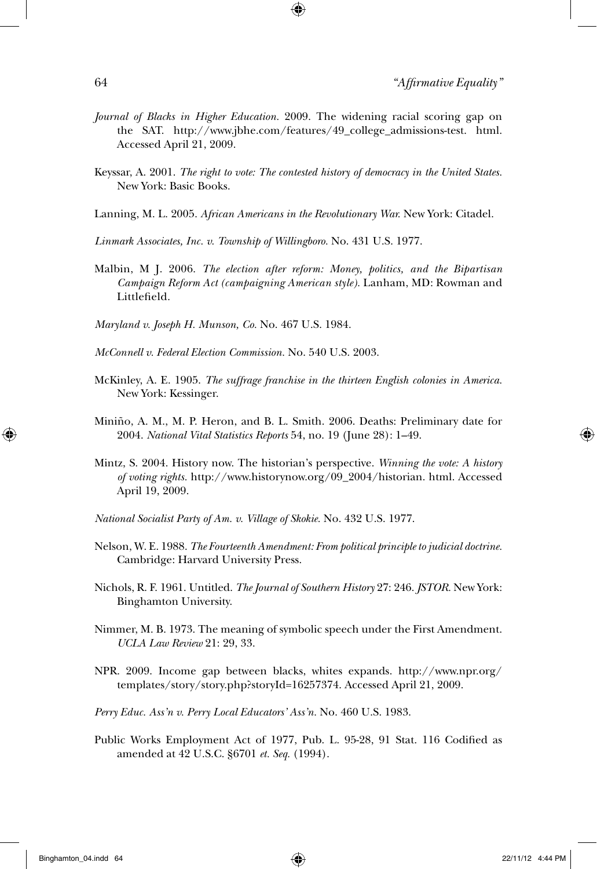- *Journal of Blacks in Higher Education.* 2009. The widening racial scoring gap on the SAT. http://www.jbhe.com/features/49\_college\_admissions-test. html. Accessed April 21, 2009.
- Keyssar, A. 2001. *The right to vote: The contested history of democracy in the United States.* New York: Basic Books.
- Lanning, M. L. 2005. *African Americans in the Revolutionary War.* New York: Citadel.
- *Linmark Associates, Inc. v. Township of Willingboro.* No. 431 U.S. 1977.
- Malbin, M J. 2006. *The election after reform: Money, politics, and the Bipartisan Campaign Reform Act (campaigning American style).* Lanham, MD: Rowman and Littlefield.
- *Maryland v. Joseph H. Munson, Co.* No. 467 U.S. 1984.
- *McConnell v. Federal Election Commission.* No. 540 U.S. 2003.
- McKinley, A. E. 1905. *The suffrage franchise in the thirteen English colonies in America.* New York: Kessinger.
- Miniño, A. M., M. P. Heron, and B. L. Smith. 2006. Deaths: Preliminary date for 2004. *National Vital Statistics Reports* 54, no. 19 (June 28): 1–49.
- Mintz, S. 2004. History now. The historian's perspective. *Winning the vote: A history of voting rights.* http://www.historynow.org/09\_2004/historian. html. Accessed April 19, 2009.
- *National Socialist Party of Am. v. Village of Skokie.* No. 432 U.S. 1977.
- Nelson, W. E. 1988. *The Fourteenth Amendment: From political principle to judicial doctrine.* Cambridge: Harvard University Press.
- Nichols, R. F. 1961. Untitled. *The Journal of Southern History* 27: 246. *JSTOR.* New York: Binghamton University.
- Nimmer, M. B. 1973. The meaning of symbolic speech under the First Amendment. *UCLA Law Review* 21: 29, 33.
- NPR. 2009. Income gap between blacks, whites expands. http://www.npr.org/ templates/story/story.php?storyId=16257374. Accessed April 21, 2009.
- *Perry Educ. Ass'n v. Perry Local Educators' Ass'n.* No. 460 U.S. 1983.
- Public Works Employment Act of 1977, Pub. L. 95-28, 91 Stat. 116 Codified as amended at 42 U.S.C. §6701 *et. Seq.* (1994).